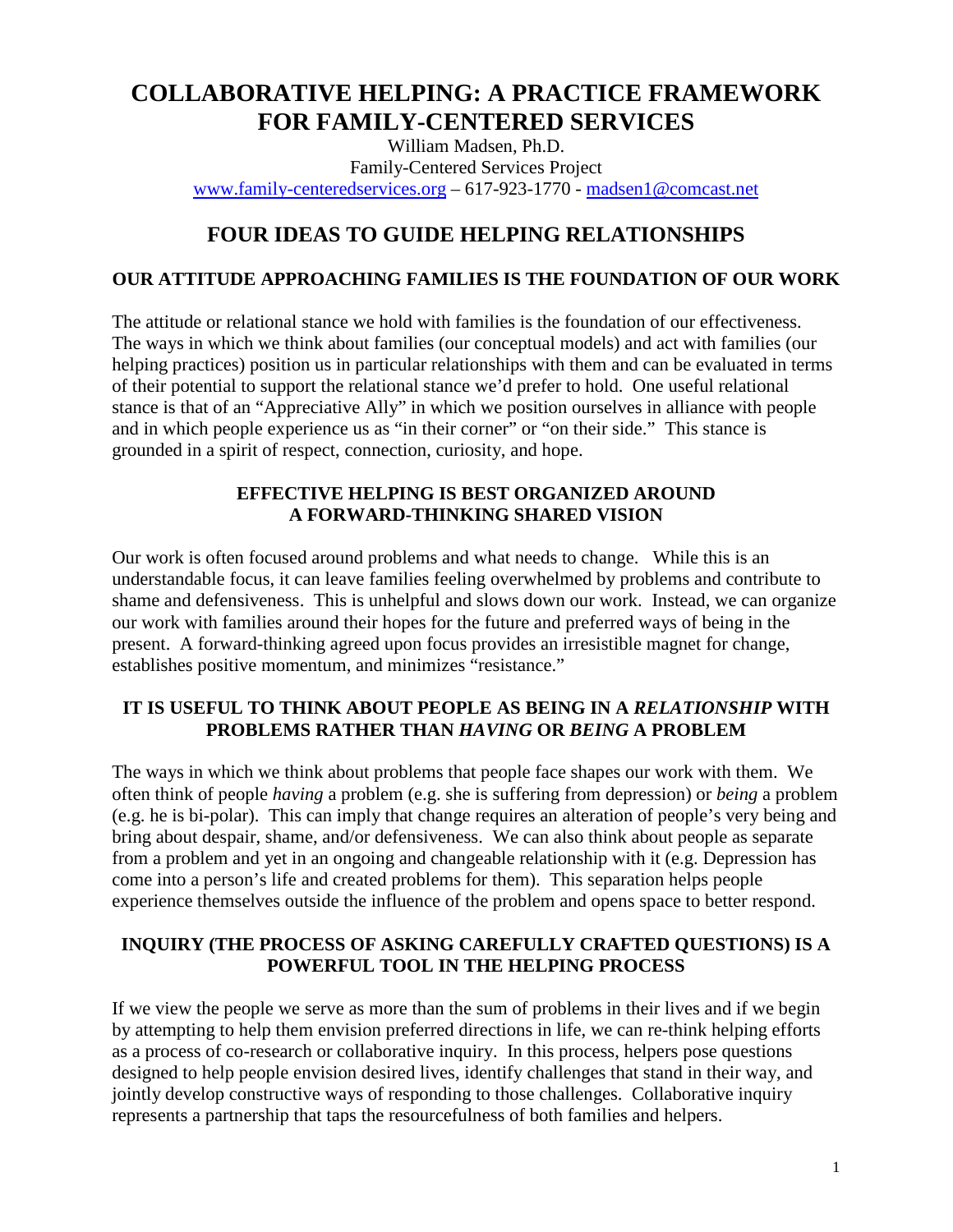# **COLLABORATIVE HELPING: A PRACTICE FRAMEWORK FOR FAMILY-CENTERED SERVICES**

William Madsen, Ph.D. Family-Centered Services Project [www.family-centeredservices.org](http://www.family-centeredservices.org/) – 617-923-1770 - [madsen1@comcast.net](mailto:madsen1@comcast.net)

# **FOUR IDEAS TO GUIDE HELPING RELATIONSHIPS**

## **OUR ATTITUDE APPROACHING FAMILIES IS THE FOUNDATION OF OUR WORK**

The attitude or relational stance we hold with families is the foundation of our effectiveness. The ways in which we think about families (our conceptual models) and act with families (our helping practices) position us in particular relationships with them and can be evaluated in terms of their potential to support the relational stance we'd prefer to hold. One useful relational stance is that of an "Appreciative Ally" in which we position ourselves in alliance with people and in which people experience us as "in their corner" or "on their side." This stance is grounded in a spirit of respect, connection, curiosity, and hope.

### **EFFECTIVE HELPING IS BEST ORGANIZED AROUND A FORWARD-THINKING SHARED VISION**

Our work is often focused around problems and what needs to change. While this is an understandable focus, it can leave families feeling overwhelmed by problems and contribute to shame and defensiveness. This is unhelpful and slows down our work. Instead, we can organize our work with families around their hopes for the future and preferred ways of being in the present. A forward-thinking agreed upon focus provides an irresistible magnet for change, establishes positive momentum, and minimizes "resistance."

## **IT IS USEFUL TO THINK ABOUT PEOPLE AS BEING IN A** *RELATIONSHIP* **WITH PROBLEMS RATHER THAN** *HAVING* **OR** *BEING* **A PROBLEM**

The ways in which we think about problems that people face shapes our work with them. We often think of people *having* a problem (e.g. she is suffering from depression) or *being* a problem (e.g. he is bi-polar). This can imply that change requires an alteration of people's very being and bring about despair, shame, and/or defensiveness. We can also think about people as separate from a problem and yet in an ongoing and changeable relationship with it (e.g. Depression has come into a person's life and created problems for them). This separation helps people experience themselves outside the influence of the problem and opens space to better respond.

## **INQUIRY (THE PROCESS OF ASKING CAREFULLY CRAFTED QUESTIONS) IS A POWERFUL TOOL IN THE HELPING PROCESS**

If we view the people we serve as more than the sum of problems in their lives and if we begin by attempting to help them envision preferred directions in life, we can re-think helping efforts as a process of co-research or collaborative inquiry. In this process, helpers pose questions designed to help people envision desired lives, identify challenges that stand in their way, and jointly develop constructive ways of responding to those challenges. Collaborative inquiry represents a partnership that taps the resourcefulness of both families and helpers.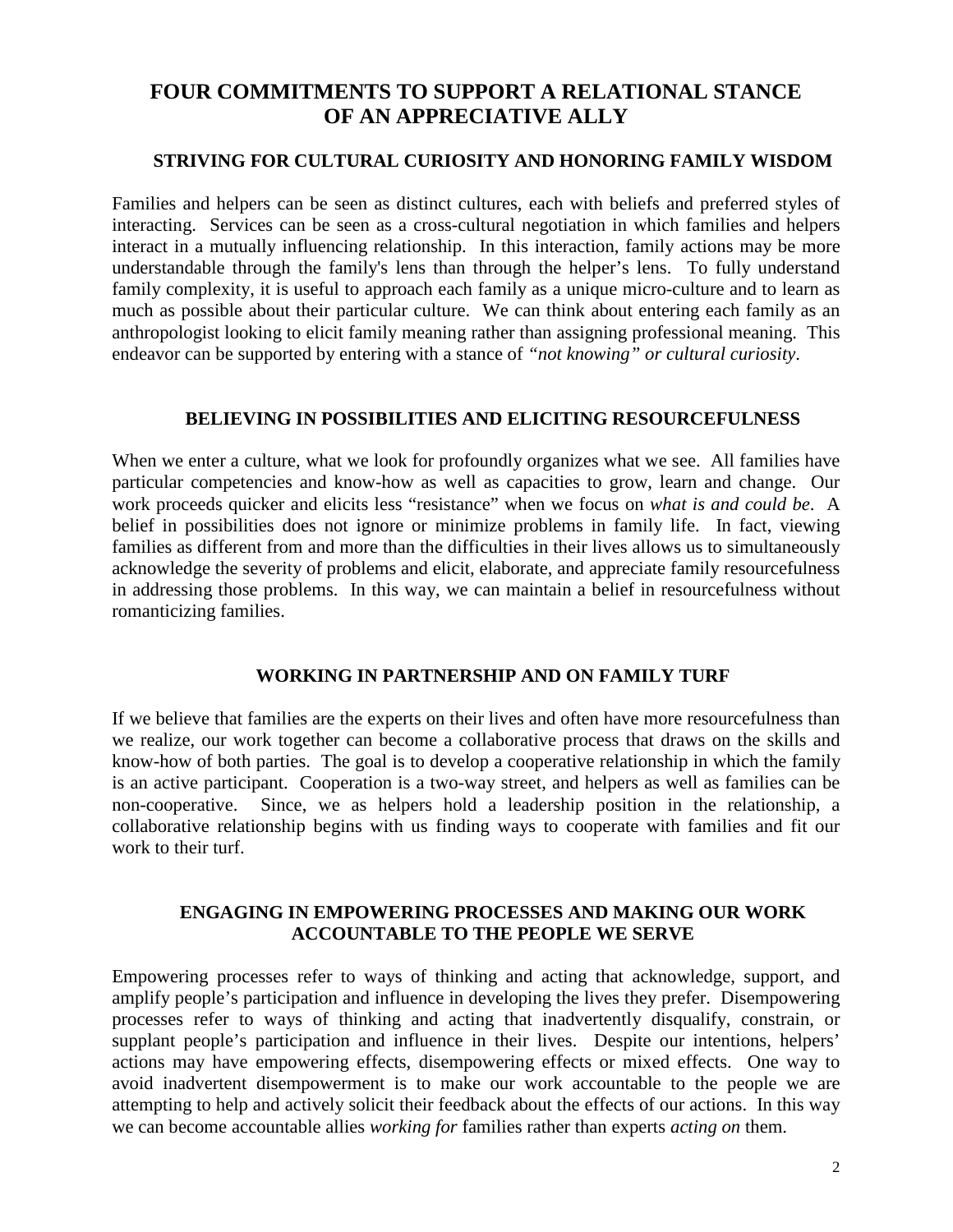## **FOUR COMMITMENTS TO SUPPORT A RELATIONAL STANCE OF AN APPRECIATIVE ALLY**

#### **STRIVING FOR CULTURAL CURIOSITY AND HONORING FAMILY WISDOM**

Families and helpers can be seen as distinct cultures, each with beliefs and preferred styles of interacting. Services can be seen as a cross-cultural negotiation in which families and helpers interact in a mutually influencing relationship. In this interaction, family actions may be more understandable through the family's lens than through the helper's lens. To fully understand family complexity, it is useful to approach each family as a unique micro-culture and to learn as much as possible about their particular culture. We can think about entering each family as an anthropologist looking to elicit family meaning rather than assigning professional meaning. This endeavor can be supported by entering with a stance of *"not knowing" or cultural curiosity*.

#### **BELIEVING IN POSSIBILITIES AND ELICITING RESOURCEFULNESS**

When we enter a culture, what we look for profoundly organizes what we see. All families have particular competencies and know-how as well as capacities to grow, learn and change. Our work proceeds quicker and elicits less "resistance" when we focus on *what is and could be*. A belief in possibilities does not ignore or minimize problems in family life. In fact, viewing families as different from and more than the difficulties in their lives allows us to simultaneously acknowledge the severity of problems and elicit, elaborate, and appreciate family resourcefulness in addressing those problems. In this way, we can maintain a belief in resourcefulness without romanticizing families.

#### **WORKING IN PARTNERSHIP AND ON FAMILY TURF**

If we believe that families are the experts on their lives and often have more resourcefulness than we realize, our work together can become a collaborative process that draws on the skills and know-how of both parties. The goal is to develop a cooperative relationship in which the family is an active participant. Cooperation is a two-way street, and helpers as well as families can be non-cooperative. Since, we as helpers hold a leadership position in the relationship, a collaborative relationship begins with us finding ways to cooperate with families and fit our work to their turf.

#### **ENGAGING IN EMPOWERING PROCESSES AND MAKING OUR WORK ACCOUNTABLE TO THE PEOPLE WE SERVE**

Empowering processes refer to ways of thinking and acting that acknowledge, support, and amplify people's participation and influence in developing the lives they prefer. Disempowering processes refer to ways of thinking and acting that inadvertently disqualify, constrain, or supplant people's participation and influence in their lives. Despite our intentions, helpers' actions may have empowering effects, disempowering effects or mixed effects. One way to avoid inadvertent disempowerment is to make our work accountable to the people we are attempting to help and actively solicit their feedback about the effects of our actions. In this way we can become accountable allies *working for* families rather than experts *acting on* them.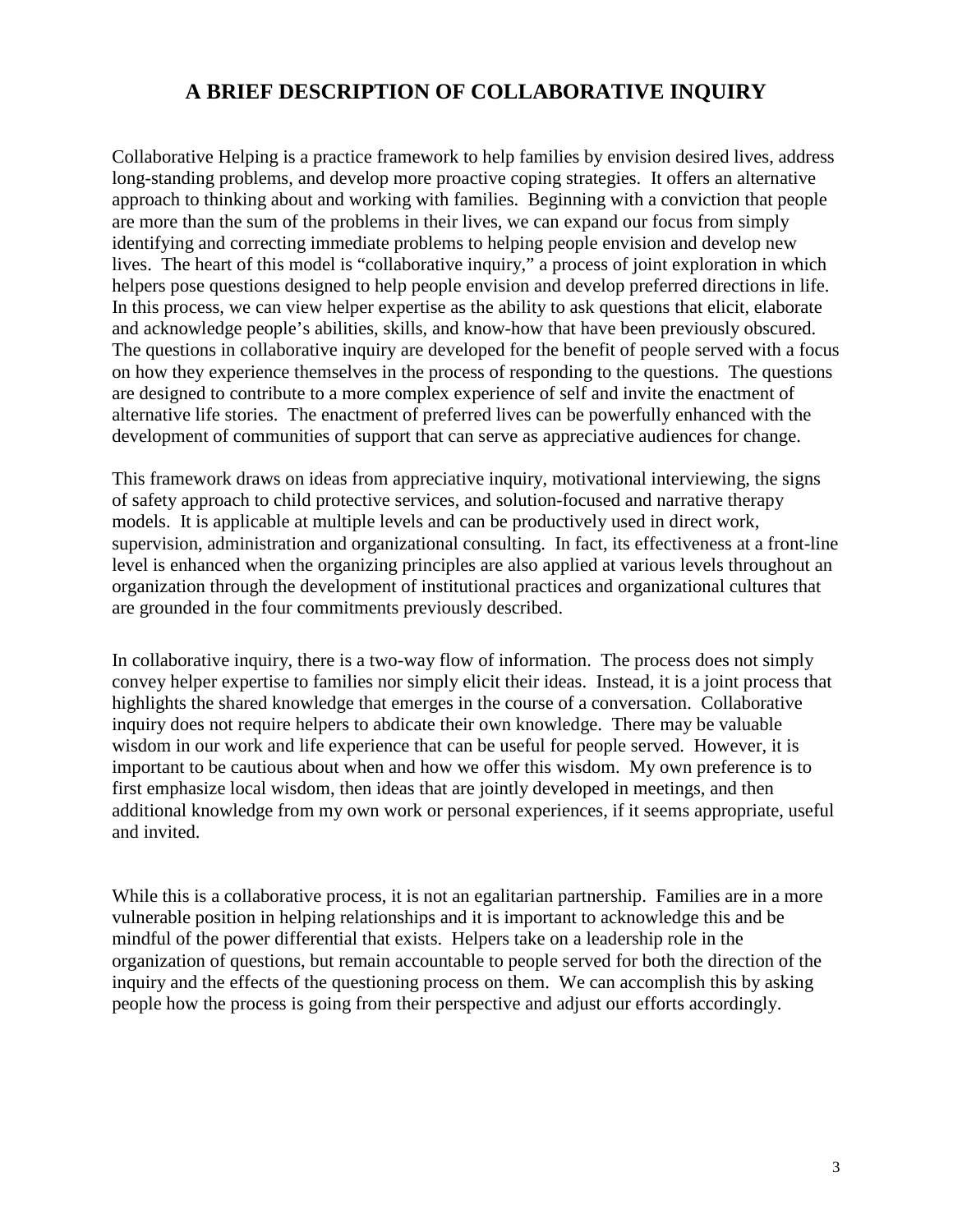## **A BRIEF DESCRIPTION OF COLLABORATIVE INQUIRY**

Collaborative Helping is a practice framework to help families by envision desired lives, address long-standing problems, and develop more proactive coping strategies. It offers an alternative approach to thinking about and working with families. Beginning with a conviction that people are more than the sum of the problems in their lives, we can expand our focus from simply identifying and correcting immediate problems to helping people envision and develop new lives. The heart of this model is "collaborative inquiry," a process of joint exploration in which helpers pose questions designed to help people envision and develop preferred directions in life. In this process, we can view helper expertise as the ability to ask questions that elicit, elaborate and acknowledge people's abilities, skills, and know-how that have been previously obscured. The questions in collaborative inquiry are developed for the benefit of people served with a focus on how they experience themselves in the process of responding to the questions. The questions are designed to contribute to a more complex experience of self and invite the enactment of alternative life stories. The enactment of preferred lives can be powerfully enhanced with the development of communities of support that can serve as appreciative audiences for change.

This framework draws on ideas from appreciative inquiry, motivational interviewing, the signs of safety approach to child protective services, and solution-focused and narrative therapy models. It is applicable at multiple levels and can be productively used in direct work, supervision, administration and organizational consulting. In fact, its effectiveness at a front-line level is enhanced when the organizing principles are also applied at various levels throughout an organization through the development of institutional practices and organizational cultures that are grounded in the four commitments previously described.

In collaborative inquiry, there is a two-way flow of information. The process does not simply convey helper expertise to families nor simply elicit their ideas. Instead, it is a joint process that highlights the shared knowledge that emerges in the course of a conversation. Collaborative inquiry does not require helpers to abdicate their own knowledge. There may be valuable wisdom in our work and life experience that can be useful for people served. However, it is important to be cautious about when and how we offer this wisdom. My own preference is to first emphasize local wisdom, then ideas that are jointly developed in meetings, and then additional knowledge from my own work or personal experiences, if it seems appropriate, useful and invited.

While this is a collaborative process, it is not an egalitarian partnership. Families are in a more vulnerable position in helping relationships and it is important to acknowledge this and be mindful of the power differential that exists. Helpers take on a leadership role in the organization of questions, but remain accountable to people served for both the direction of the inquiry and the effects of the questioning process on them. We can accomplish this by asking people how the process is going from their perspective and adjust our efforts accordingly.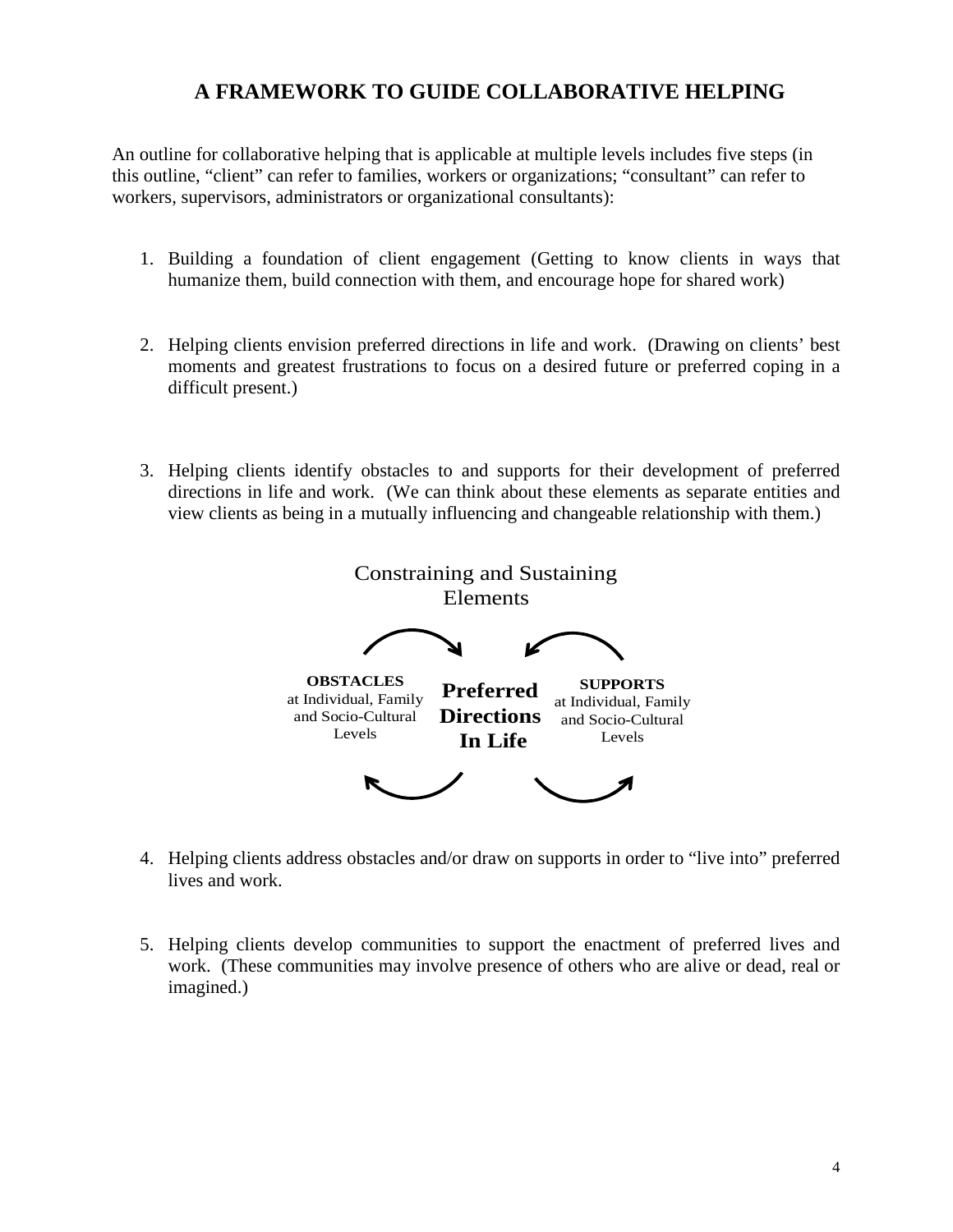## **A FRAMEWORK TO GUIDE COLLABORATIVE HELPING**

An outline for collaborative helping that is applicable at multiple levels includes five steps (in this outline, "client" can refer to families, workers or organizations; "consultant" can refer to workers, supervisors, administrators or organizational consultants):

- 1. Building a foundation of client engagement (Getting to know clients in ways that humanize them, build connection with them, and encourage hope for shared work)
- 2. Helping clients envision preferred directions in life and work. (Drawing on clients' best moments and greatest frustrations to focus on a desired future or preferred coping in a difficult present.)
- 3. Helping clients identify obstacles to and supports for their development of preferred directions in life and work. (We can think about these elements as separate entities and view clients as being in a mutually influencing and changeable relationship with them.)



- 4. Helping clients address obstacles and/or draw on supports in order to "live into" preferred lives and work.
- 5. Helping clients develop communities to support the enactment of preferred lives and work. (These communities may involve presence of others who are alive or dead, real or imagined.)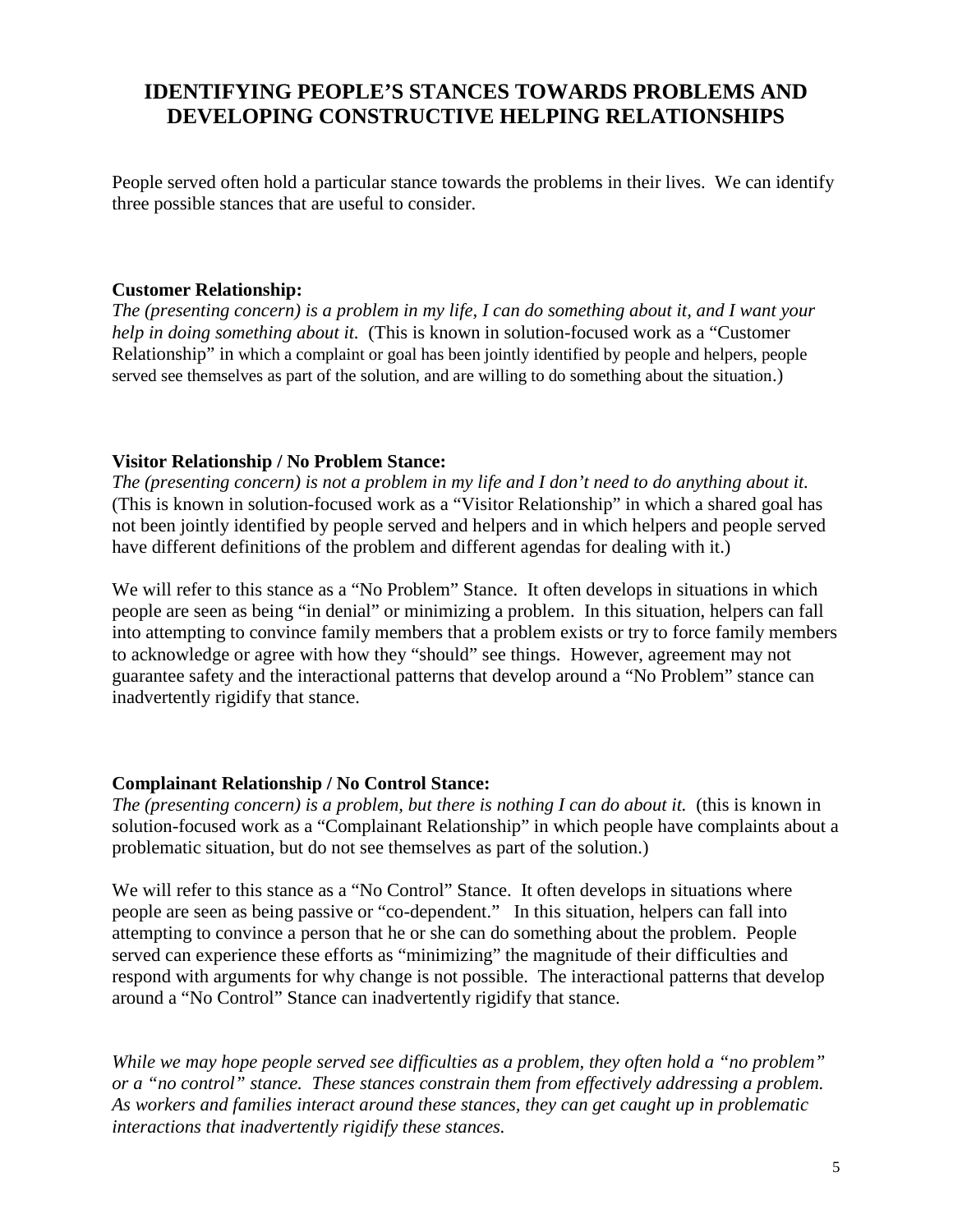# **IDENTIFYING PEOPLE'S STANCES TOWARDS PROBLEMS AND DEVELOPING CONSTRUCTIVE HELPING RELATIONSHIPS**

People served often hold a particular stance towards the problems in their lives. We can identify three possible stances that are useful to consider.

#### **Customer Relationship:**

*The (presenting concern) is a problem in my life, I can do something about it, and I want your help in doing something about it.* (This is known in solution-focused work as a "Customer Relationship" in which a complaint or goal has been jointly identified by people and helpers, people served see themselves as part of the solution, and are willing to do something about the situation.)

#### **Visitor Relationship / No Problem Stance:**

*The (presenting concern) is not a problem in my life and I don't need to do anything about it.* (This is known in solution-focused work as a "Visitor Relationship" in which a shared goal has not been jointly identified by people served and helpers and in which helpers and people served have different definitions of the problem and different agendas for dealing with it.)

We will refer to this stance as a "No Problem" Stance. It often develops in situations in which people are seen as being "in denial" or minimizing a problem. In this situation, helpers can fall into attempting to convince family members that a problem exists or try to force family members to acknowledge or agree with how they "should" see things. However, agreement may not guarantee safety and the interactional patterns that develop around a "No Problem" stance can inadvertently rigidify that stance.

#### **Complainant Relationship / No Control Stance:**

*The (presenting concern) is a problem, but there is nothing I can do about it.* (this is known in solution-focused work as a "Complainant Relationship" in which people have complaints about a problematic situation, but do not see themselves as part of the solution.)

We will refer to this stance as a "No Control" Stance. It often develops in situations where people are seen as being passive or "co-dependent." In this situation, helpers can fall into attempting to convince a person that he or she can do something about the problem. People served can experience these efforts as "minimizing" the magnitude of their difficulties and respond with arguments for why change is not possible. The interactional patterns that develop around a "No Control" Stance can inadvertently rigidify that stance.

*While we may hope people served see difficulties as a problem, they often hold a "no problem" or a "no control" stance. These stances constrain them from effectively addressing a problem. As workers and families interact around these stances, they can get caught up in problematic interactions that inadvertently rigidify these stances.*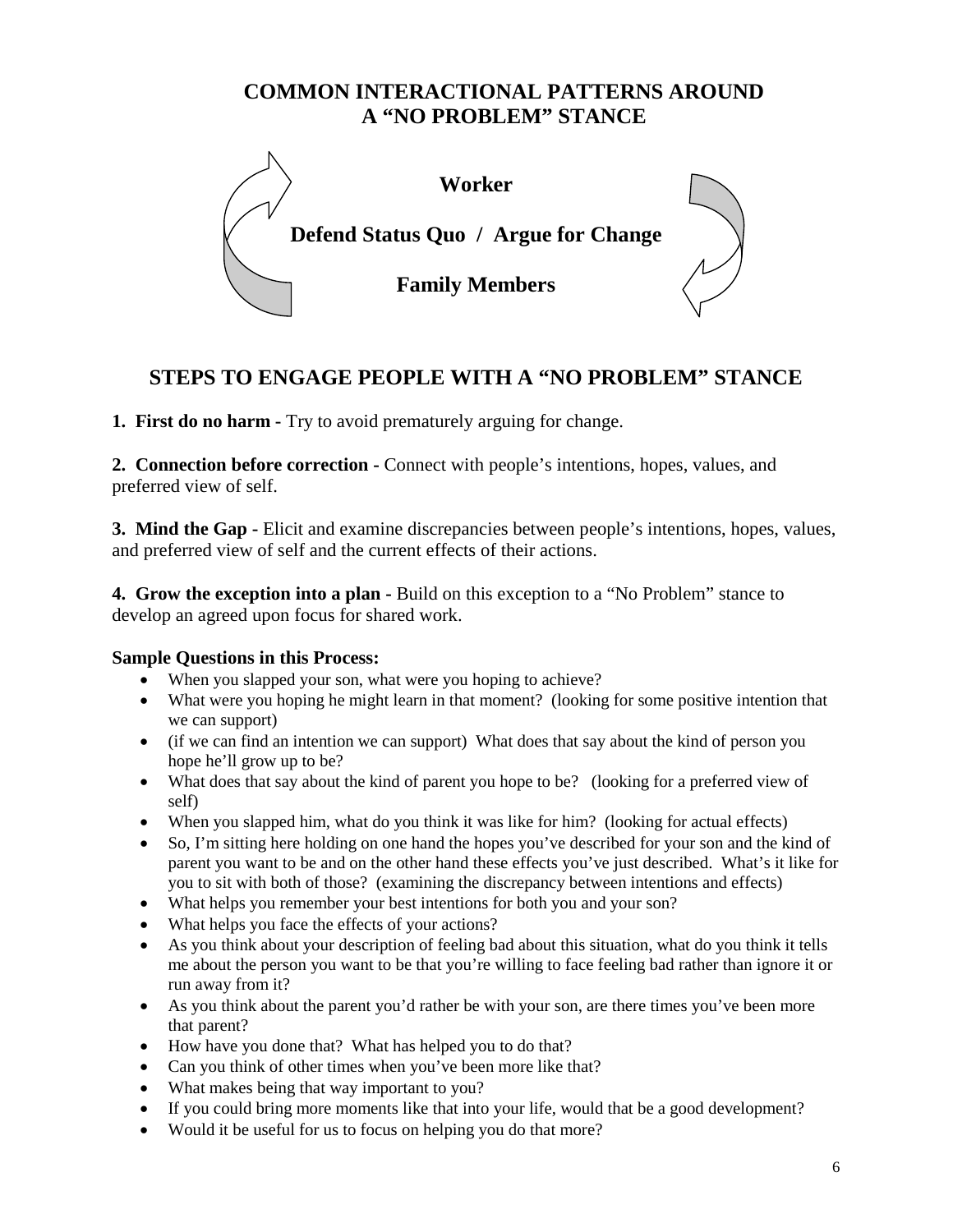## **COMMON INTERACTIONAL PATTERNS AROUND A "NO PROBLEM" STANCE**



# **STEPS TO ENGAGE PEOPLE WITH A "NO PROBLEM" STANCE**

**1. First do no harm -** Try to avoid prematurely arguing for change.

**2. Connection before correction -** Connect with people's intentions, hopes, values, and preferred view of self.

**3. Mind the Gap -** Elicit and examine discrepancies between people's intentions, hopes, values, and preferred view of self and the current effects of their actions.

**4. Grow the exception into a plan -** Build on this exception to a "No Problem" stance to develop an agreed upon focus for shared work.

### **Sample Questions in this Process:**

- When you slapped your son, what were you hoping to achieve?
- What were you hoping he might learn in that moment? (looking for some positive intention that we can support)
- (if we can find an intention we can support) What does that say about the kind of person you hope he'll grow up to be?
- What does that say about the kind of parent you hope to be? (looking for a preferred view of self)
- When you slapped him, what do you think it was like for him? (looking for actual effects)
- So, I'm sitting here holding on one hand the hopes you've described for your son and the kind of parent you want to be and on the other hand these effects you've just described. What's it like for you to sit with both of those? (examining the discrepancy between intentions and effects)
- What helps you remember your best intentions for both you and your son?
- What helps you face the effects of your actions?
- As you think about your description of feeling bad about this situation, what do you think it tells me about the person you want to be that you're willing to face feeling bad rather than ignore it or run away from it?
- As you think about the parent you'd rather be with your son, are there times you've been more that parent?
- How have you done that? What has helped you to do that?
- Can you think of other times when you've been more like that?
- What makes being that way important to you?
- If you could bring more moments like that into your life, would that be a good development?
- Would it be useful for us to focus on helping you do that more?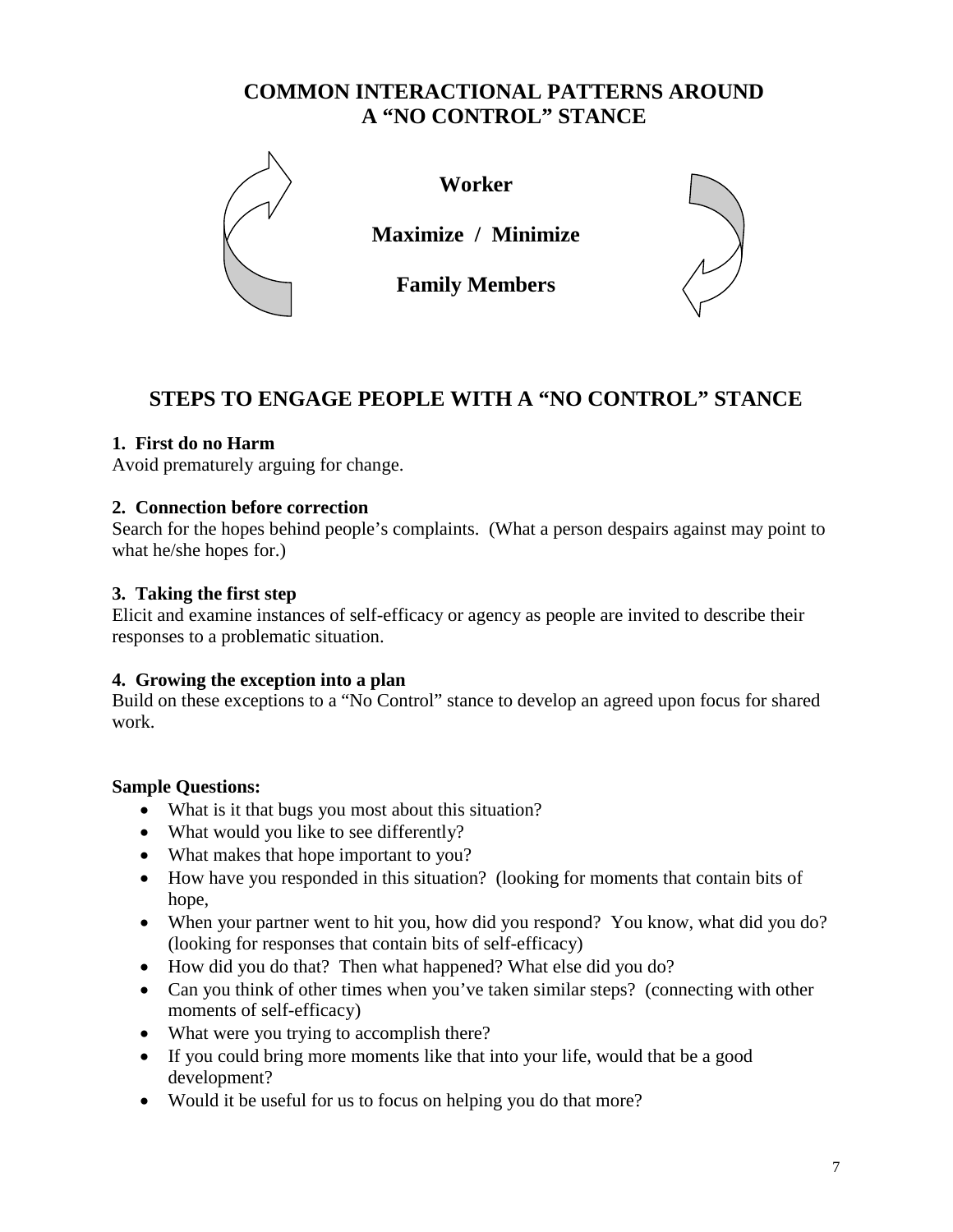## **COMMON INTERACTIONAL PATTERNS AROUND A "NO CONTROL" STANCE**



**Worker**

**Maximize / Minimize**

**Family Members**



# **STEPS TO ENGAGE PEOPLE WITH A "NO CONTROL" STANCE**

## **1. First do no Harm**

Avoid prematurely arguing for change.

## **2. Connection before correction**

Search for the hopes behind people's complaints. (What a person despairs against may point to what he/she hopes for.)

## **3. Taking the first step**

Elicit and examine instances of self-efficacy or agency as people are invited to describe their responses to a problematic situation.

## **4. Growing the exception into a plan**

Build on these exceptions to a "No Control" stance to develop an agreed upon focus for shared work.

## **Sample Questions:**

- What is it that bugs you most about this situation?
- What would you like to see differently?
- What makes that hope important to you?
- How have you responded in this situation? (looking for moments that contain bits of hope,
- When your partner went to hit you, how did you respond? You know, what did you do? (looking for responses that contain bits of self-efficacy)
- How did you do that? Then what happened? What else did you do?
- Can you think of other times when you've taken similar steps? (connecting with other moments of self-efficacy)
- What were you trying to accomplish there?
- If you could bring more moments like that into your life, would that be a good development?
- Would it be useful for us to focus on helping you do that more?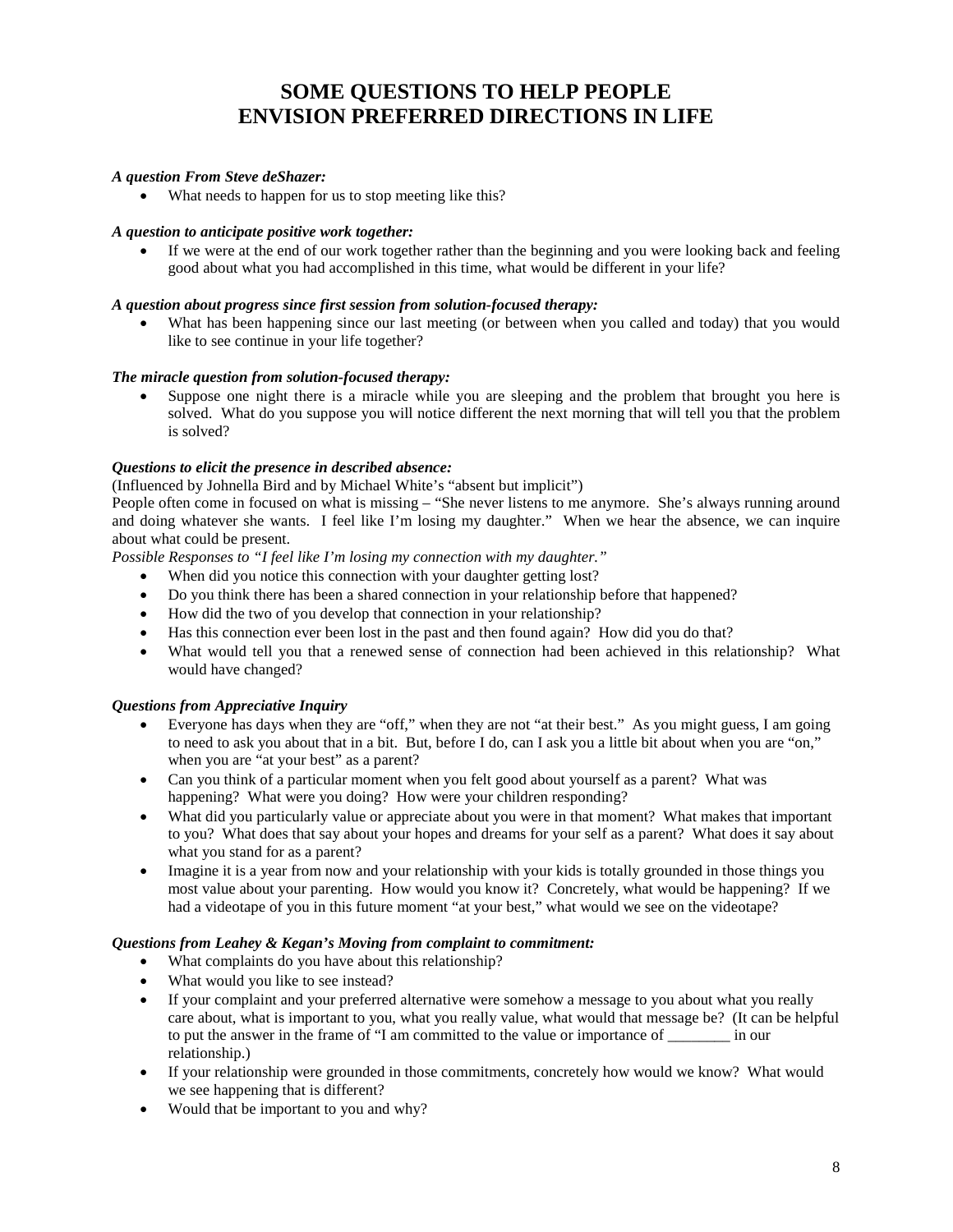## **SOME QUESTIONS TO HELP PEOPLE ENVISION PREFERRED DIRECTIONS IN LIFE**

#### *A question From Steve deShazer:*

• What needs to happen for us to stop meeting like this?

#### *A question to anticipate positive work together:*

 If we were at the end of our work together rather than the beginning and you were looking back and feeling good about what you had accomplished in this time, what would be different in your life?

#### *A question about progress since first session from solution-focused therapy:*

What has been happening since our last meeting (or between when you called and today) that you would like to see continue in your life together?

#### *The miracle question from solution-focused therapy:*

 Suppose one night there is a miracle while you are sleeping and the problem that brought you here is solved. What do you suppose you will notice different the next morning that will tell you that the problem is solved?

#### *Questions to elicit the presence in described absence:*

(Influenced by Johnella Bird and by Michael White's "absent but implicit")

People often come in focused on what is missing – "She never listens to me anymore. She's always running around and doing whatever she wants. I feel like I'm losing my daughter." When we hear the absence, we can inquire about what could be present.

*Possible Responses to "I feel like I'm losing my connection with my daughter."*

- When did you notice this connection with your daughter getting lost?
- Do you think there has been a shared connection in your relationship before that happened?
- How did the two of you develop that connection in your relationship?
- Has this connection ever been lost in the past and then found again? How did you do that?
- What would tell you that a renewed sense of connection had been achieved in this relationship? What would have changed?

#### *Questions from Appreciative Inquiry*

- Everyone has days when they are "off," when they are not "at their best." As you might guess, I am going to need to ask you about that in a bit. But, before I do, can I ask you a little bit about when you are "on," when you are "at your best" as a parent?
- Can you think of a particular moment when you felt good about yourself as a parent? What was happening? What were you doing? How were your children responding?
- What did you particularly value or appreciate about you were in that moment? What makes that important to you? What does that say about your hopes and dreams for your self as a parent? What does it say about what you stand for as a parent?
- Imagine it is a year from now and your relationship with your kids is totally grounded in those things you most value about your parenting. How would you know it? Concretely, what would be happening? If we had a videotape of you in this future moment "at your best," what would we see on the videotape?

#### *Questions from Leahey & Kegan's Moving from complaint to commitment:*

- What complaints do you have about this relationship?
- What would you like to see instead?
- If your complaint and your preferred alternative were somehow a message to you about what you really care about, what is important to you, what you really value, what would that message be? (It can be helpful to put the answer in the frame of "I am committed to the value or importance of \_\_\_\_\_\_\_\_ in our relationship.)
- If your relationship were grounded in those commitments, concretely how would we know? What would we see happening that is different?
- Would that be important to you and why?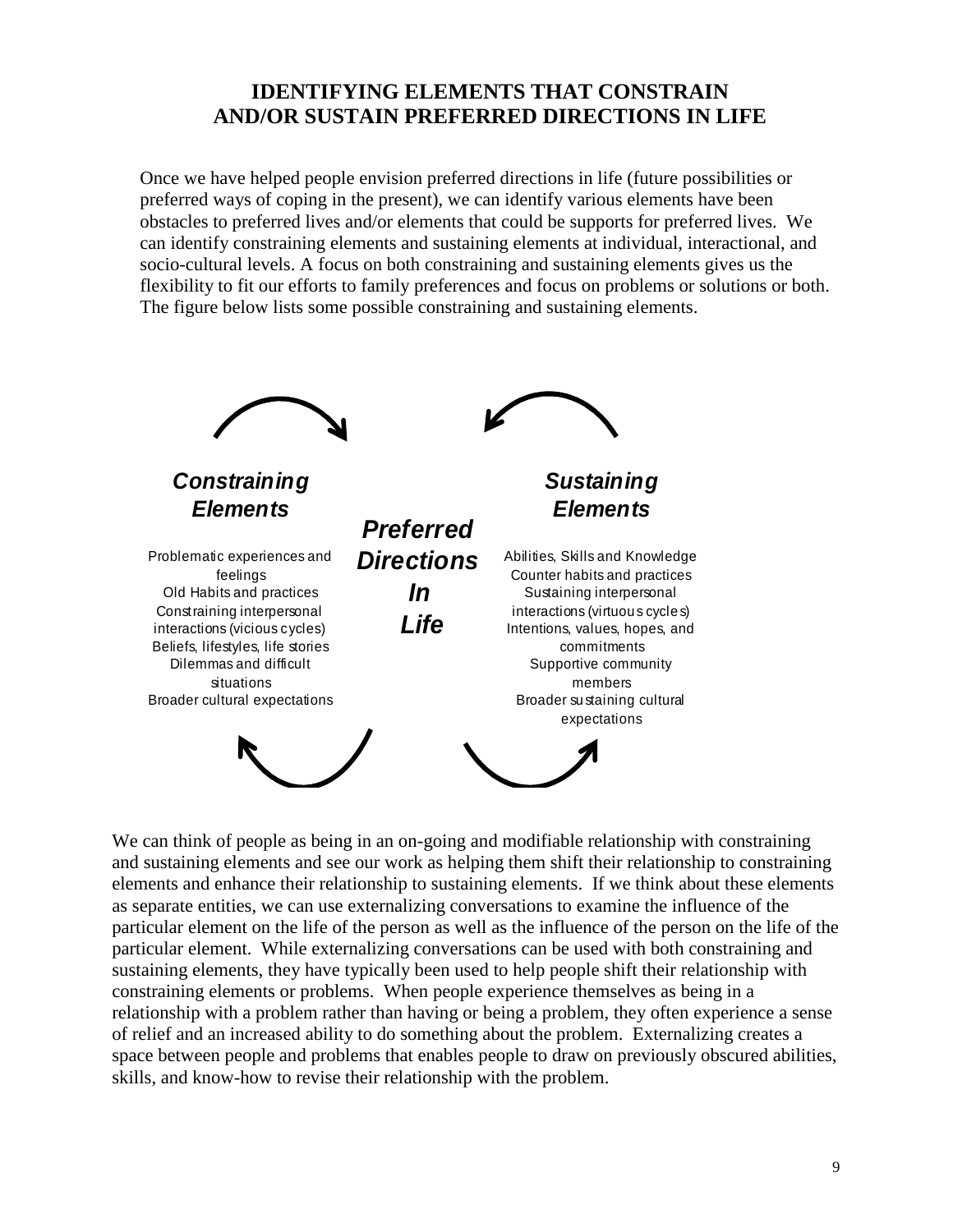## **IDENTIFYING ELEMENTS THAT CONSTRAIN AND/OR SUSTAIN PREFERRED DIRECTIONS IN LIFE**

Once we have helped people envision preferred directions in life (future possibilities or preferred ways of coping in the present), we can identify various elements have been obstacles to preferred lives and/or elements that could be supports for preferred lives. We can identify constraining elements and sustaining elements at individual, interactional, and socio-cultural levels. A focus on both constraining and sustaining elements gives us the flexibility to fit our efforts to family preferences and focus on problems or solutions or both. The figure below lists some possible constraining and sustaining elements.



We can think of people as being in an on-going and modifiable relationship with constraining and sustaining elements and see our work as helping them shift their relationship to constraining elements and enhance their relationship to sustaining elements. If we think about these elements as separate entities, we can use externalizing conversations to examine the influence of the particular element on the life of the person as well as the influence of the person on the life of the particular element. While externalizing conversations can be used with both constraining and sustaining elements, they have typically been used to help people shift their relationship with constraining elements or problems. When people experience themselves as being in a relationship with a problem rather than having or being a problem, they often experience a sense of relief and an increased ability to do something about the problem. Externalizing creates a space between people and problems that enables people to draw on previously obscured abilities, skills, and know-how to revise their relationship with the problem.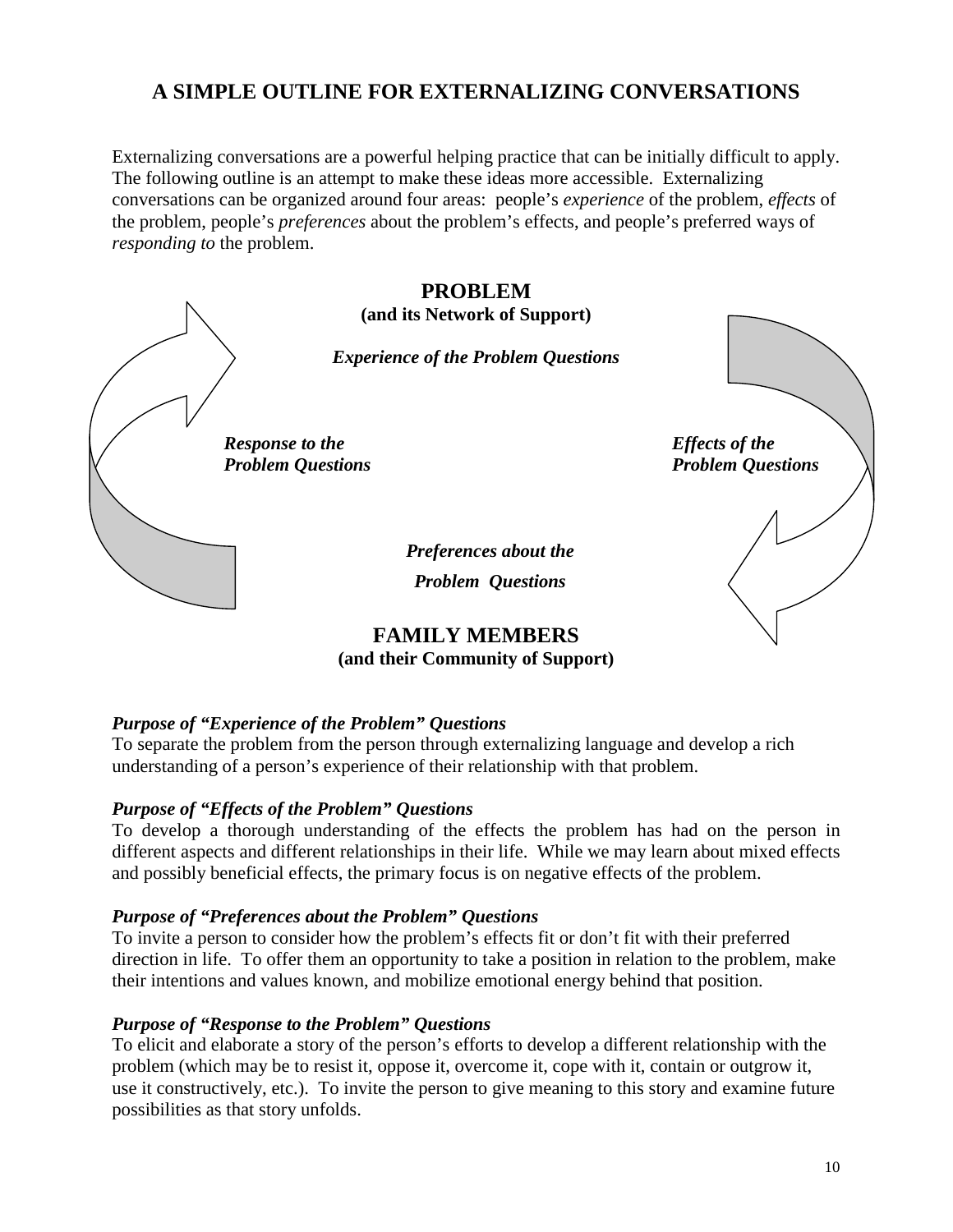# **A SIMPLE OUTLINE FOR EXTERNALIZING CONVERSATIONS**

Externalizing conversations are a powerful helping practice that can be initially difficult to apply. The following outline is an attempt to make these ideas more accessible. Externalizing conversations can be organized around four areas: people's *experience* of the problem, *effects* of the problem, people's *preferences* about the problem's effects, and people's preferred ways of *responding to* the problem.



**PROBLEM (and its Network of Support)**

*Experience of the Problem Questions*

*Response to the Response to the Problem Questions Problem Questions*

*Preferences about the Problem Questions*

**FAMILY MEMBERS (and their Community of Support)**

### *Purpose of "Experience of the Problem" Questions*

To separate the problem from the person through externalizing language and develop a rich understanding of a person's experience of their relationship with that problem.

### *Purpose of "Effects of the Problem" Questions*

To develop a thorough understanding of the effects the problem has had on the person in different aspects and different relationships in their life. While we may learn about mixed effects and possibly beneficial effects, the primary focus is on negative effects of the problem.

### *Purpose of "Preferences about the Problem" Questions*

To invite a person to consider how the problem's effects fit or don't fit with their preferred direction in life. To offer them an opportunity to take a position in relation to the problem, make their intentions and values known, and mobilize emotional energy behind that position.

### *Purpose of "Response to the Problem" Questions*

To elicit and elaborate a story of the person's efforts to develop a different relationship with the problem (which may be to resist it, oppose it, overcome it, cope with it, contain or outgrow it, use it constructively, etc.). To invite the person to give meaning to this story and examine future possibilities as that story unfolds.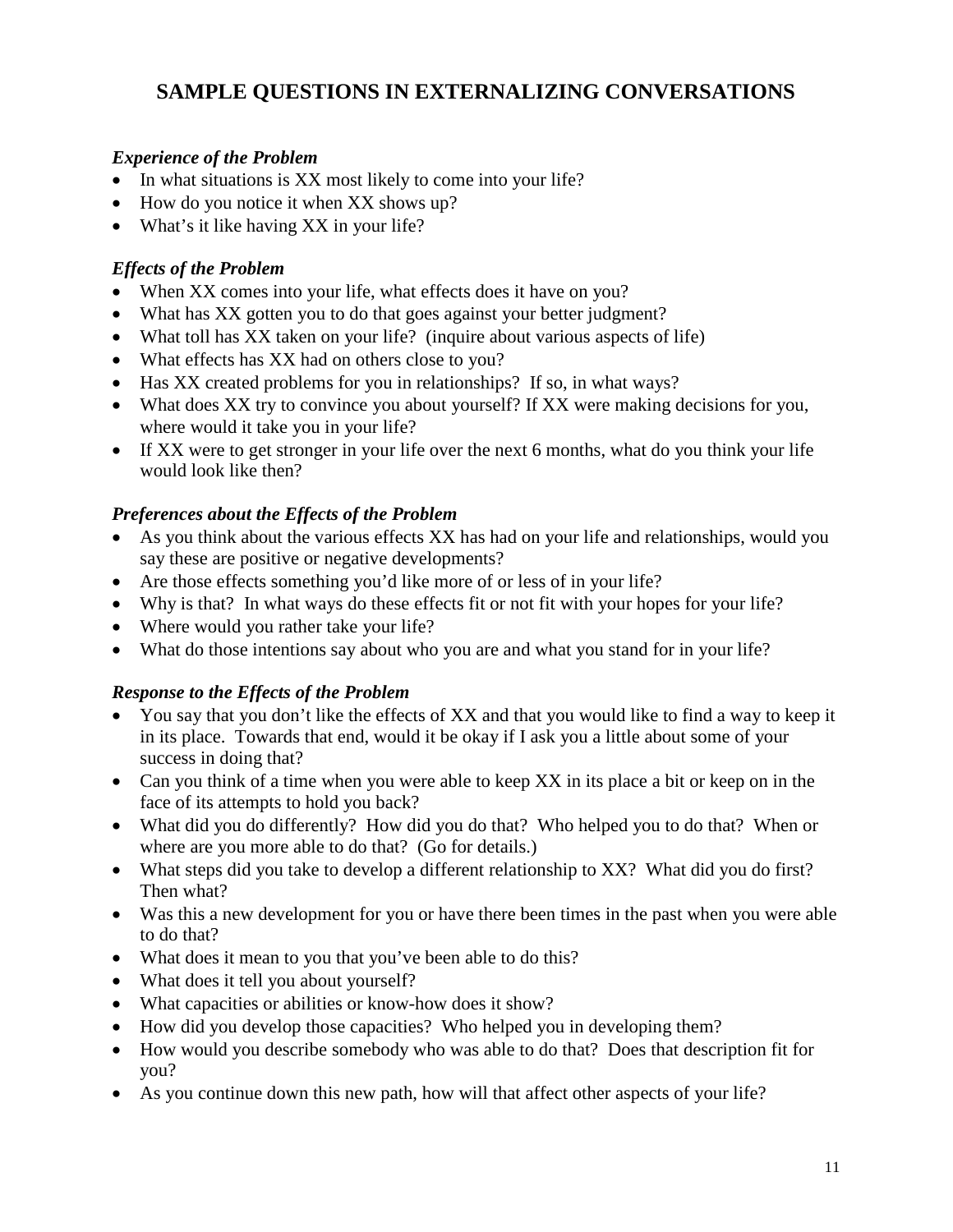# **SAMPLE QUESTIONS IN EXTERNALIZING CONVERSATIONS**

## *Experience of the Problem*

- In what situations is XX most likely to come into your life?
- How do you notice it when XX shows up?
- What's it like having XX in your life?

## *Effects of the Problem*

- When XX comes into your life, what effects does it have on you?
- What has XX gotten you to do that goes against your better judgment?
- What toll has XX taken on your life? (inquire about various aspects of life)
- What effects has XX had on others close to you?
- Has XX created problems for you in relationships? If so, in what ways?
- What does XX try to convince you about yourself? If XX were making decisions for you, where would it take you in your life?
- If XX were to get stronger in your life over the next 6 months, what do you think your life would look like then?

## *Preferences about the Effects of the Problem*

- As you think about the various effects XX has had on your life and relationships, would you say these are positive or negative developments?
- Are those effects something you'd like more of or less of in your life?
- Why is that? In what ways do these effects fit or not fit with your hopes for your life?
- Where would you rather take your life?
- What do those intentions say about who you are and what you stand for in your life?

## *Response to the Effects of the Problem*

- You say that you don't like the effects of XX and that you would like to find a way to keep it in its place. Towards that end, would it be okay if I ask you a little about some of your success in doing that?
- Can you think of a time when you were able to keep XX in its place a bit or keep on in the face of its attempts to hold you back?
- What did you do differently? How did you do that? Who helped you to do that? When or where are you more able to do that? (Go for details.)
- What steps did you take to develop a different relationship to XX? What did you do first? Then what?
- Was this a new development for you or have there been times in the past when you were able to do that?
- What does it mean to you that you've been able to do this?
- What does it tell you about yourself?
- What capacities or abilities or know-how does it show?
- How did you develop those capacities? Who helped you in developing them?
- How would you describe somebody who was able to do that? Does that description fit for you?
- As you continue down this new path, how will that affect other aspects of your life?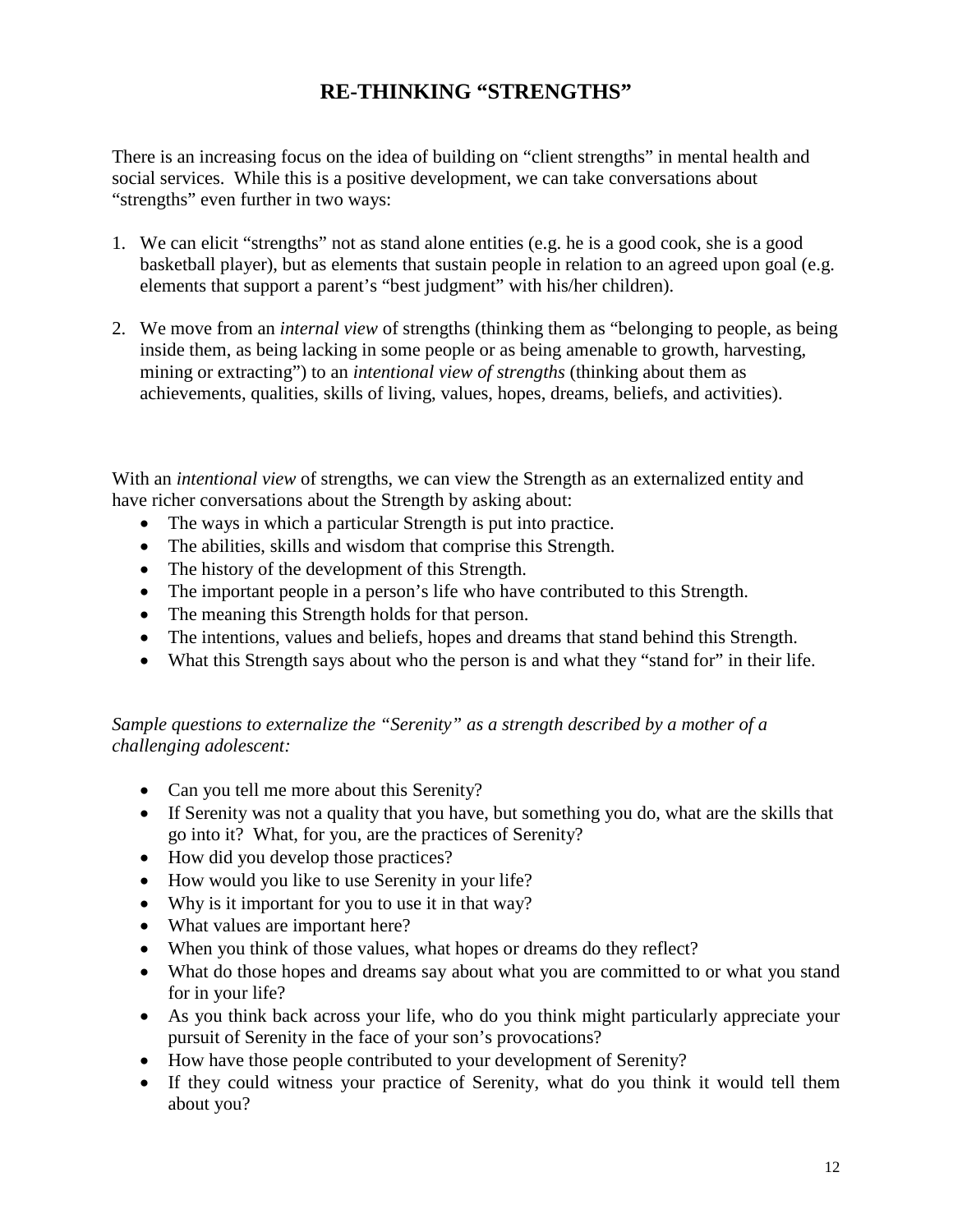# **RE-THINKING "STRENGTHS"**

There is an increasing focus on the idea of building on "client strengths" in mental health and social services. While this is a positive development, we can take conversations about "strengths" even further in two ways:

- 1. We can elicit "strengths" not as stand alone entities (e.g. he is a good cook, she is a good basketball player), but as elements that sustain people in relation to an agreed upon goal (e.g. elements that support a parent's "best judgment" with his/her children).
- 2. We move from an *internal view* of strengths (thinking them as "belonging to people, as being inside them, as being lacking in some people or as being amenable to growth, harvesting, mining or extracting") to an *intentional view of strengths* (thinking about them as achievements, qualities, skills of living, values, hopes, dreams, beliefs, and activities).

With an *intentional view* of strengths, we can view the Strength as an externalized entity and have richer conversations about the Strength by asking about:

- The ways in which a particular Strength is put into practice.
- The abilities, skills and wisdom that comprise this Strength.
- The history of the development of this Strength.
- The important people in a person's life who have contributed to this Strength.
- The meaning this Strength holds for that person.
- The intentions, values and beliefs, hopes and dreams that stand behind this Strength.
- What this Strength says about who the person is and what they "stand for" in their life.

### *Sample questions to externalize the "Serenity" as a strength described by a mother of a challenging adolescent:*

- Can you tell me more about this Serenity?
- If Serenity was not a quality that you have, but something you do, what are the skills that go into it? What, for you, are the practices of Serenity?
- How did you develop those practices?
- How would you like to use Serenity in your life?
- Why is it important for you to use it in that way?
- What values are important here?
- When you think of those values, what hopes or dreams do they reflect?
- What do those hopes and dreams say about what you are committed to or what you stand for in your life?
- As you think back across your life, who do you think might particularly appreciate your pursuit of Serenity in the face of your son's provocations?
- How have those people contributed to your development of Serenity?
- If they could witness your practice of Serenity, what do you think it would tell them about you?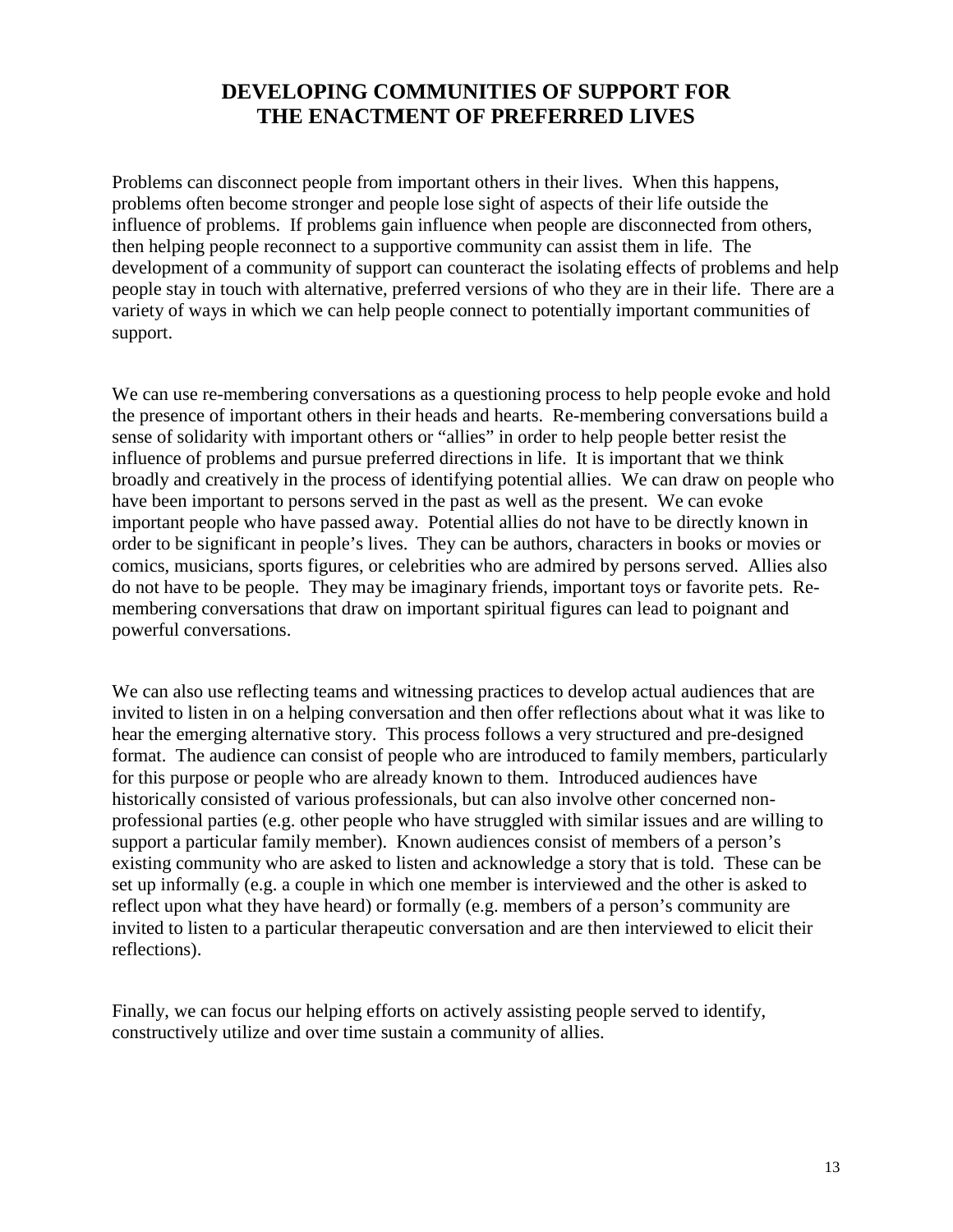## **DEVELOPING COMMUNITIES OF SUPPORT FOR THE ENACTMENT OF PREFERRED LIVES**

Problems can disconnect people from important others in their lives. When this happens, problems often become stronger and people lose sight of aspects of their life outside the influence of problems. If problems gain influence when people are disconnected from others, then helping people reconnect to a supportive community can assist them in life. The development of a community of support can counteract the isolating effects of problems and help people stay in touch with alternative, preferred versions of who they are in their life. There are a variety of ways in which we can help people connect to potentially important communities of support.

We can use re-membering conversations as a questioning process to help people evoke and hold the presence of important others in their heads and hearts. Re-membering conversations build a sense of solidarity with important others or "allies" in order to help people better resist the influence of problems and pursue preferred directions in life. It is important that we think broadly and creatively in the process of identifying potential allies. We can draw on people who have been important to persons served in the past as well as the present. We can evoke important people who have passed away. Potential allies do not have to be directly known in order to be significant in people's lives. They can be authors, characters in books or movies or comics, musicians, sports figures, or celebrities who are admired by persons served. Allies also do not have to be people. They may be imaginary friends, important toys or favorite pets. Remembering conversations that draw on important spiritual figures can lead to poignant and powerful conversations.

We can also use reflecting teams and witnessing practices to develop actual audiences that are invited to listen in on a helping conversation and then offer reflections about what it was like to hear the emerging alternative story. This process follows a very structured and pre-designed format. The audience can consist of people who are introduced to family members, particularly for this purpose or people who are already known to them. Introduced audiences have historically consisted of various professionals, but can also involve other concerned nonprofessional parties (e.g. other people who have struggled with similar issues and are willing to support a particular family member). Known audiences consist of members of a person's existing community who are asked to listen and acknowledge a story that is told. These can be set up informally (e.g. a couple in which one member is interviewed and the other is asked to reflect upon what they have heard) or formally (e.g. members of a person's community are invited to listen to a particular therapeutic conversation and are then interviewed to elicit their reflections).

Finally, we can focus our helping efforts on actively assisting people served to identify, constructively utilize and over time sustain a community of allies.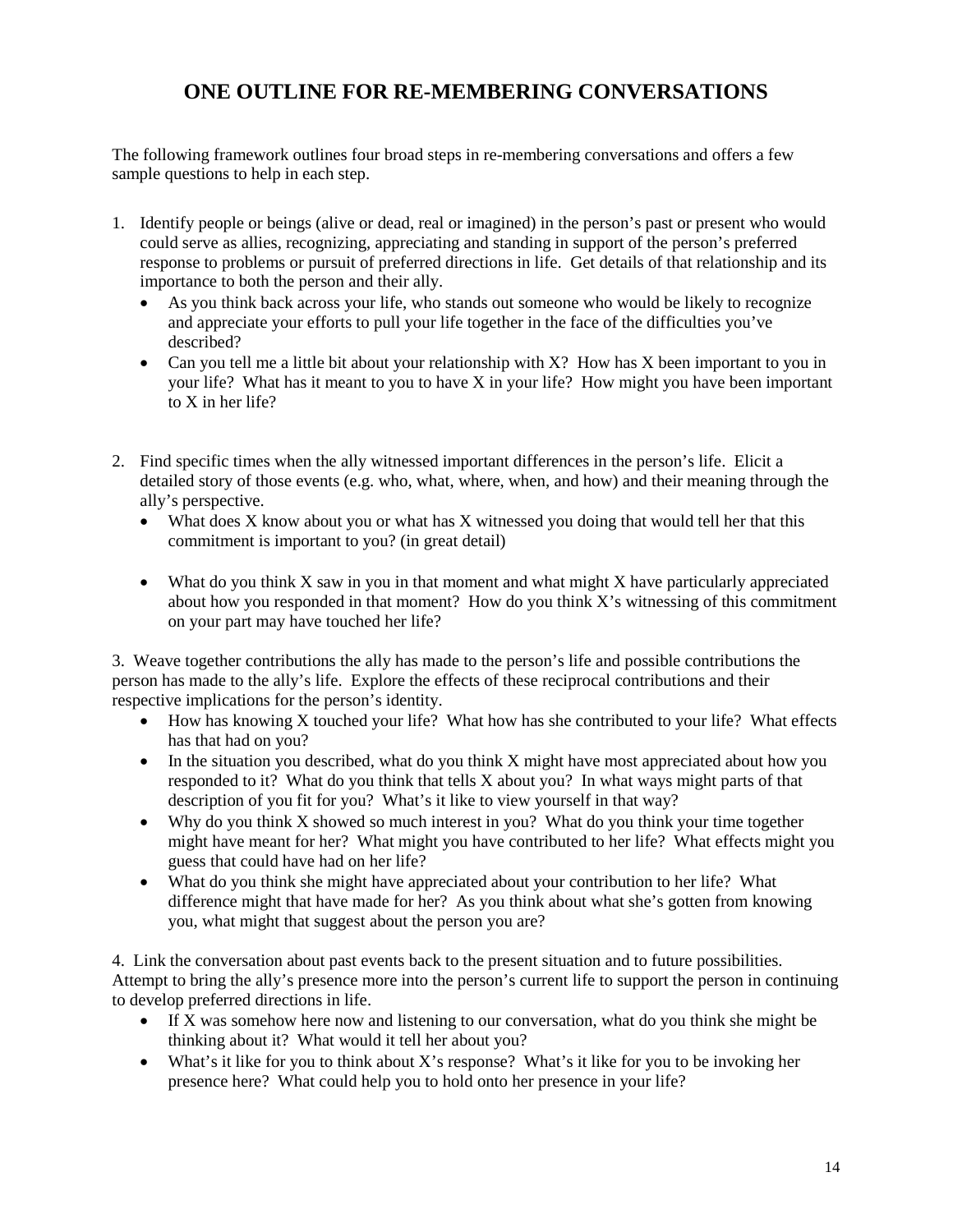# **ONE OUTLINE FOR RE-MEMBERING CONVERSATIONS**

The following framework outlines four broad steps in re-membering conversations and offers a few sample questions to help in each step.

- 1. Identify people or beings (alive or dead, real or imagined) in the person's past or present who would could serve as allies, recognizing, appreciating and standing in support of the person's preferred response to problems or pursuit of preferred directions in life. Get details of that relationship and its importance to both the person and their ally.
	- As you think back across your life, who stands out someone who would be likely to recognize and appreciate your efforts to pull your life together in the face of the difficulties you've described?
	- Can you tell me a little bit about your relationship with X? How has X been important to you in your life? What has it meant to you to have X in your life? How might you have been important to X in her life?
- 2. Find specific times when the ally witnessed important differences in the person's life. Elicit a detailed story of those events (e.g. who, what, where, when, and how) and their meaning through the ally's perspective.
	- What does X know about you or what has X witnessed you doing that would tell her that this commitment is important to you? (in great detail)
	- What do you think X saw in you in that moment and what might X have particularly appreciated about how you responded in that moment? How do you think X's witnessing of this commitment on your part may have touched her life?

3. Weave together contributions the ally has made to the person's life and possible contributions the person has made to the ally's life. Explore the effects of these reciprocal contributions and their respective implications for the person's identity.

- How has knowing X touched your life? What how has she contributed to your life? What effects has that had on you?
- In the situation you described, what do you think X might have most appreciated about how you responded to it? What do you think that tells X about you? In what ways might parts of that description of you fit for you? What's it like to view yourself in that way?
- Why do you think X showed so much interest in you? What do you think your time together might have meant for her? What might you have contributed to her life? What effects might you guess that could have had on her life?
- What do you think she might have appreciated about your contribution to her life? What difference might that have made for her? As you think about what she's gotten from knowing you, what might that suggest about the person you are?

4. Link the conversation about past events back to the present situation and to future possibilities. Attempt to bring the ally's presence more into the person's current life to support the person in continuing to develop preferred directions in life.

- If X was somehow here now and listening to our conversation, what do you think she might be thinking about it? What would it tell her about you?
- What's it like for you to think about X's response? What's it like for you to be invoking her presence here? What could help you to hold onto her presence in your life?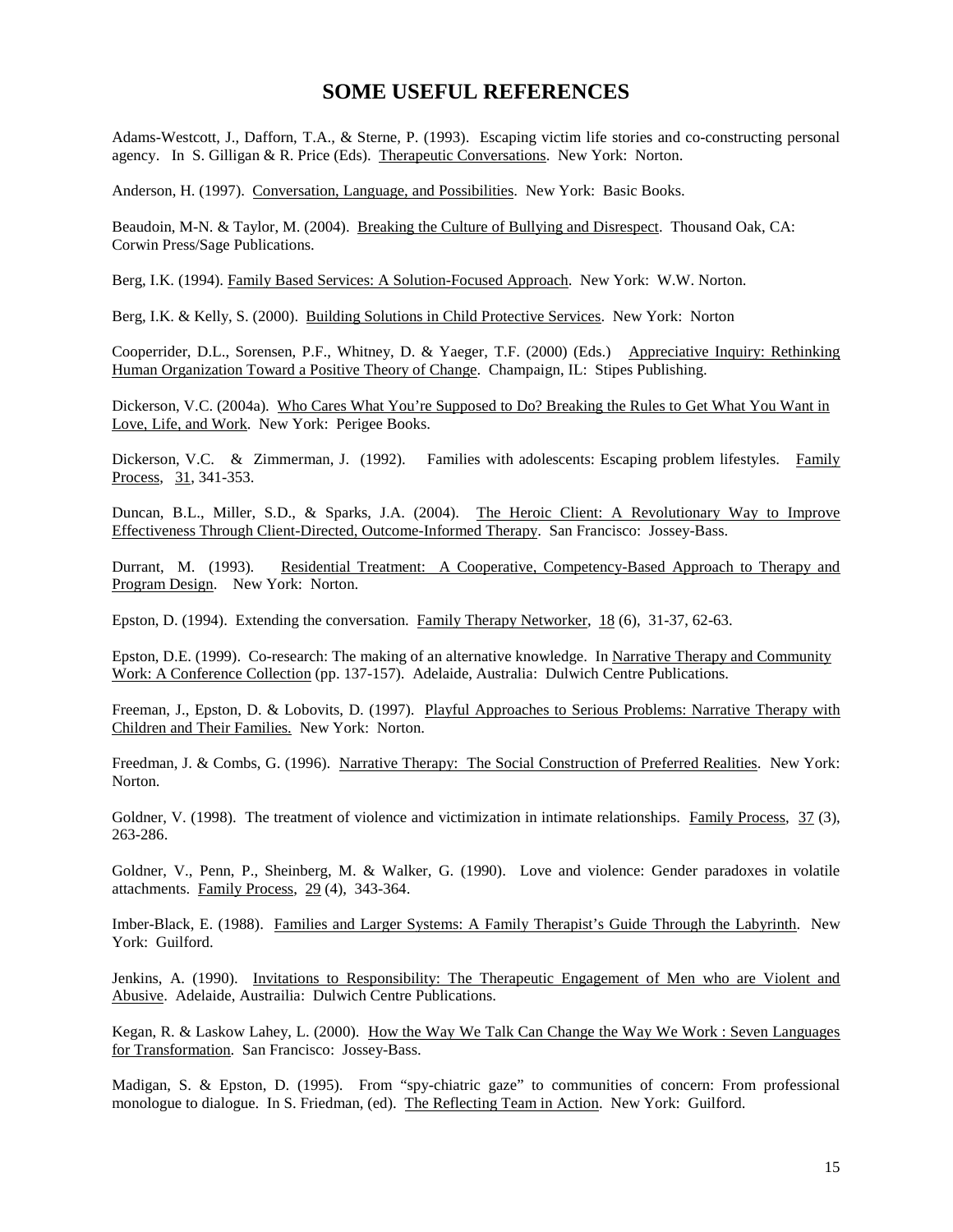#### **SOME USEFUL REFERENCES**

Adams-Westcott, J., Dafforn, T.A., & Sterne, P. (1993). Escaping victim life stories and co-constructing personal agency. In S. Gilligan & R. Price (Eds). Therapeutic Conversations. New York: Norton.

Anderson, H. (1997). Conversation, Language, and Possibilities. New York: Basic Books.

Beaudoin, M-N. & Taylor, M. (2004). Breaking the Culture of Bullying and Disrespect. Thousand Oak, CA: Corwin Press/Sage Publications.

Berg, I.K. (1994). Family Based Services: A Solution-Focused Approach. New York: W.W. Norton.

Berg, I.K. & Kelly, S. (2000). Building Solutions in Child Protective Services. New York: Norton

Cooperrider, D.L., Sorensen, P.F., Whitney, D. & Yaeger, T.F. (2000) (Eds.) Appreciative Inquiry: Rethinking Human Organization Toward a Positive Theory of Change. Champaign, IL: Stipes Publishing.

Dickerson, V.C. (2004a). Who Cares What You're Supposed to Do? Breaking the Rules to Get What You Want in Love, Life, and Work. New York: Perigee Books.

Dickerson, V.C. & Zimmerman, J. (1992). Families with adolescents: Escaping problem lifestyles. Family Process, 31, 341-353.

Duncan, B.L., Miller, S.D., & Sparks, J.A. (2004). The Heroic Client: A Revolutionary Way to Improve Effectiveness Through Client-Directed, Outcome-Informed Therapy. San Francisco: Jossey-Bass.

Durrant, M. (1993). Residential Treatment: A Cooperative, Competency-Based Approach to Therapy and Program Design. New York: Norton.

Epston, D. (1994). Extending the conversation. Family Therapy Networker, 18 (6), 31-37, 62-63.

Epston, D.E. (1999). Co-research: The making of an alternative knowledge. In Narrative Therapy and Community Work: A Conference Collection (pp. 137-157). Adelaide, Australia: Dulwich Centre Publications.

Freeman, J., Epston, D. & Lobovits, D. (1997). Playful Approaches to Serious Problems: Narrative Therapy with Children and Their Families. New York: Norton.

Freedman, J. & Combs, G. (1996). Narrative Therapy: The Social Construction of Preferred Realities. New York: Norton.

Goldner, V. (1998). The treatment of violence and victimization in intimate relationships. Family Process, 37 (3), 263-286.

Goldner, V., Penn, P., Sheinberg, M. & Walker, G. (1990). Love and violence: Gender paradoxes in volatile attachments. Family Process, 29 (4), 343-364.

Imber-Black, E. (1988). Families and Larger Systems: A Family Therapist's Guide Through the Labyrinth. New York: Guilford.

Jenkins, A. (1990). Invitations to Responsibility: The Therapeutic Engagement of Men who are Violent and Abusive. Adelaide, Austrailia: Dulwich Centre Publications.

Kegan, R. & Laskow Lahey, L. (2000). How the Way We Talk Can Change the Way We Work : Seven Languages for Transformation. San Francisco: Jossey-Bass.

Madigan, S. & Epston, D. (1995). From "spy-chiatric gaze" to communities of concern: From professional monologue to dialogue. In S. Friedman, (ed). The Reflecting Team in Action. New York: Guilford.